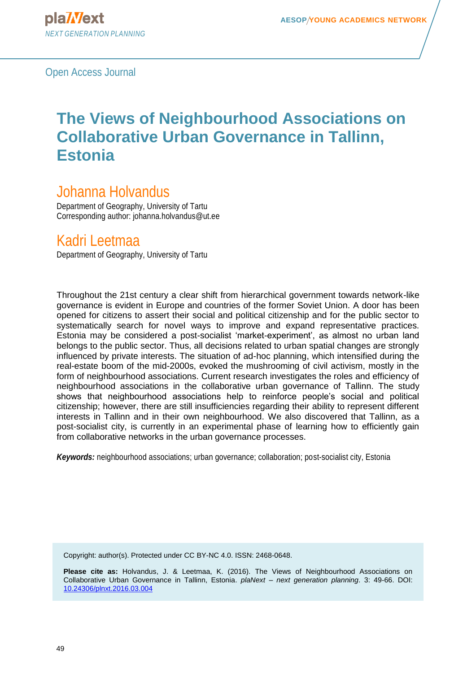# **The Views of Neighbourhood Associations on Collaborative Urban Governance in Tallinn, Estonia**

## Johanna Holvandus

Department of Geography, University of Tartu Corresponding author: johanna.holvandus@ut.ee

## Kadri Leetmaa

Department of Geography, University of Tartu

Throughout the 21st century a clear shift from hierarchical government towards network-like governance is evident in Europe and countries of the former Soviet Union. A door has been opened for citizens to assert their social and political citizenship and for the public sector to systematically search for novel ways to improve and expand representative practices. Estonia may be considered a post-socialist 'market-experiment', as almost no urban land belongs to the public sector. Thus, all decisions related to urban spatial changes are strongly influenced by private interests. The situation of ad-hoc planning, which intensified during the real-estate boom of the mid-2000s, evoked the mushrooming of civil activism, mostly in the form of neighbourhood associations. Current research investigates the roles and efficiency of neighbourhood associations in the collaborative urban governance of Tallinn. The study shows that neighbourhood associations help to reinforce people's social and political citizenship; however, there are still insufficiencies regarding their ability to represent different interests in Tallinn and in their own neighbourhood. We also discovered that Tallinn, as a post-socialist city, is currently in an experimental phase of learning how to efficiently gain from collaborative networks in the urban governance processes.

*Keywords:* neighbourhood associations; urban governance; collaboration; post-socialist city, Estonia

Copyright: author(s). Protected under CC BY-NC 4.0. ISSN: 2468-0648.

**Please cite as:** Holvandus, J. & Leetmaa, K. (2016). The Views of Neighbourhood Associations on Collaborative Urban Governance in Tallinn, Estonia. *plaNext – next generation planning*. 3: 49-66. DOI: [10.24306/plnxt.2016.03.004](http://dx.doi.org/10.24306/plnxt.2016.03.004)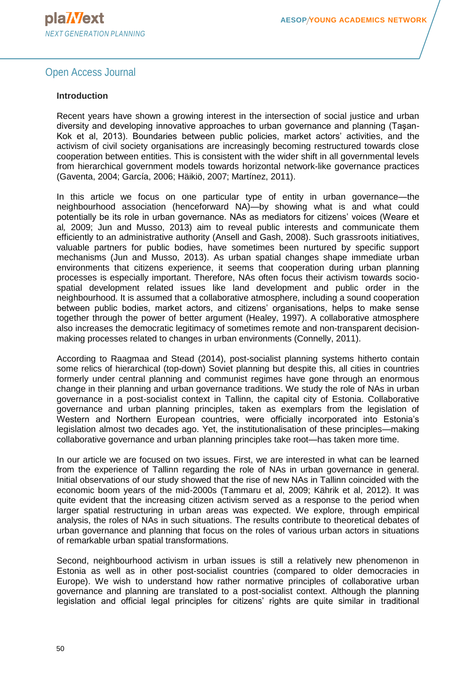#### **Introduction**

Recent years have shown a growing interest in the intersection of social justice and urban diversity and developing innovative approaches to urban governance and planning (Taşan-Kok et al, 2013). Boundaries between public policies, market actors' activities, and the activism of civil society organisations are increasingly becoming restructured towards close cooperation between entities. This is consistent with the wider shift in all governmental levels from hierarchical government models towards horizontal network-like governance practices (Gaventa, 2004; García, 2006; Häikiö, 2007; Martínez, 2011).

In this article we focus on one particular type of entity in urban governance—the neighbourhood association (henceforward NA)—by showing what is and what could potentially be its role in urban governance. NAs as mediators for citizens' voices (Weare et al*,* 2009; Jun and Musso, 2013) aim to reveal public interests and communicate them efficiently to an administrative authority (Ansell and Gash, 2008). Such grassroots initiatives, valuable partners for public bodies, have sometimes been nurtured by specific support mechanisms (Jun and Musso, 2013). As urban spatial changes shape immediate urban environments that citizens experience, it seems that cooperation during urban planning processes is especially important. Therefore, NAs often focus their activism towards sociospatial development related issues like land development and public order in the neighbourhood. It is assumed that a collaborative atmosphere, including a sound cooperation between public bodies, market actors, and citizens' organisations, helps to make sense together through the power of better argument (Healey, 1997). A collaborative atmosphere also increases the democratic legitimacy of sometimes remote and non-transparent decisionmaking processes related to changes in urban environments (Connelly, 2011).

According to Raagmaa and Stead (2014), post-socialist planning systems hitherto contain some relics of hierarchical (top-down) Soviet planning but despite this, all cities in countries formerly under central planning and communist regimes have gone through an enormous change in their planning and urban governance traditions. We study the role of NAs in urban governance in a post-socialist context in Tallinn, the capital city of Estonia. Collaborative governance and urban planning principles, taken as exemplars from the legislation of Western and Northern European countries, were officially incorporated into Estonia's legislation almost two decades ago. Yet, the institutionalisation of these principles—making collaborative governance and urban planning principles take root—has taken more time.

In our article we are focused on two issues. First, we are interested in what can be learned from the experience of Tallinn regarding the role of NAs in urban governance in general. Initial observations of our study showed that the rise of new NAs in Tallinn coincided with the economic boom years of the mid-2000s (Tammaru et al, 2009; Kährik et al, 2012). It was quite evident that the increasing citizen activism served as a response to the period when larger spatial restructuring in urban areas was expected. We explore, through empirical analysis, the roles of NAs in such situations. The results contribute to theoretical debates of urban governance and planning that focus on the roles of various urban actors in situations of remarkable urban spatial transformations.

Second, neighbourhood activism in urban issues is still a relatively new phenomenon in Estonia as well as in other post-socialist countries (compared to older democracies in Europe). We wish to understand how rather normative principles of collaborative urban governance and planning are translated to a post-socialist context. Although the planning legislation and official legal principles for citizens' rights are quite similar in traditional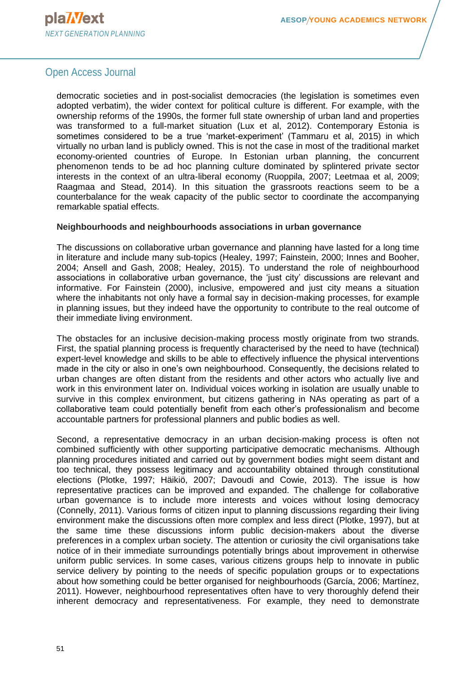

democratic societies and in post-socialist democracies (the legislation is sometimes even adopted verbatim), the wider context for political culture is different. For example, with the ownership reforms of the 1990s, the former full state ownership of urban land and properties was transformed to a full-market situation (Lux et al, 2012). Contemporary Estonia is sometimes considered to be a true 'market-experiment' (Tammaru et al, 2015) in which virtually no urban land is publicly owned. This is not the case in most of the traditional market economy-oriented countries of Europe. In Estonian urban planning, the concurrent phenomenon tends to be ad hoc planning culture dominated by splintered private sector interests in the context of an ultra-liberal economy (Ruoppila, 2007; Leetmaa et al, 2009; Raagmaa and Stead, 2014). In this situation the grassroots reactions seem to be a counterbalance for the weak capacity of the public sector to coordinate the accompanying remarkable spatial effects.

#### **Neighbourhoods and neighbourhoods associations in urban governance**

The discussions on collaborative urban governance and planning have lasted for a long time in literature and include many sub-topics (Healey, 1997; Fainstein, 2000; Innes and Booher, 2004; Ansell and Gash, 2008; Healey, 2015). To understand the role of neighbourhood associations in collaborative urban governance, the 'just city' discussions are relevant and informative. For Fainstein (2000), inclusive, empowered and just city means a situation where the inhabitants not only have a formal say in decision-making processes, for example in planning issues, but they indeed have the opportunity to contribute to the real outcome of their immediate living environment.

The obstacles for an inclusive decision-making process mostly originate from two strands. First, the spatial planning process is frequently characterised by the need to have (technical) expert-level knowledge and skills to be able to effectively influence the physical interventions made in the city or also in one's own neighbourhood. Consequently, the decisions related to urban changes are often distant from the residents and other actors who actually live and work in this environment later on. Individual voices working in isolation are usually unable to survive in this complex environment, but citizens gathering in NAs operating as part of a collaborative team could potentially benefit from each other's professionalism and become accountable partners for professional planners and public bodies as well.

Second, a representative democracy in an urban decision-making process is often not combined sufficiently with other supporting participative democratic mechanisms. Although planning procedures initiated and carried out by government bodies might seem distant and too technical, they possess legitimacy and accountability obtained through constitutional elections (Plotke, 1997; Häikiö, 2007; Davoudi and Cowie, 2013). The issue is how representative practices can be improved and expanded. The challenge for collaborative urban governance is to include more interests and voices without losing democracy (Connelly, 2011). Various forms of citizen input to planning discussions regarding their living environment make the discussions often more complex and less direct (Plotke, 1997), but at the same time these discussions inform public decision-makers about the diverse preferences in a complex urban society. The attention or curiosity the civil organisations take notice of in their immediate surroundings potentially brings about improvement in otherwise uniform public services. In some cases, various citizens groups help to innovate in public service delivery by pointing to the needs of specific population groups or to expectations about how something could be better organised for neighbourhoods (García, 2006; Martínez, 2011). However, neighbourhood representatives often have to very thoroughly defend their inherent democracy and representativeness. For example, they need to demonstrate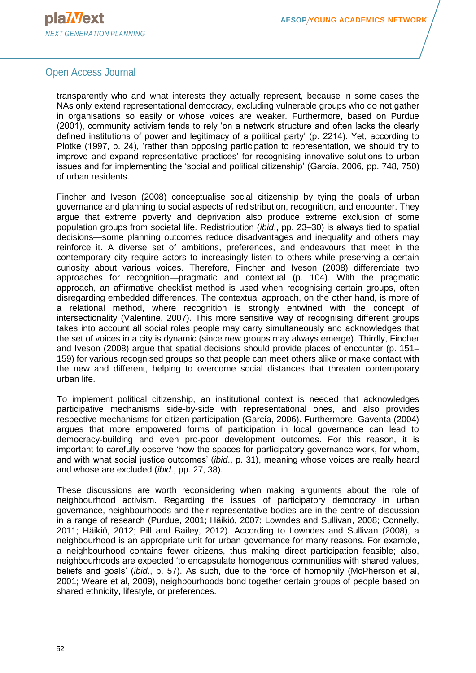

transparently who and what interests they actually represent, because in some cases the NAs only extend representational democracy, excluding vulnerable groups who do not gather in organisations so easily or whose voices are weaker. Furthermore, based on Purdue (2001), community activism tends to rely 'on a network structure and often lacks the clearly defined institutions of power and legitimacy of a political party' (p. 2214). Yet, according to Plotke (1997, p. 24), 'rather than opposing participation to representation, we should try to improve and expand representative practices' for recognising innovative solutions to urban issues and for implementing the 'social and political citizenship' (García, 2006, pp. 748, 750) of urban residents.

Fincher and Iveson (2008) conceptualise social citizenship by tying the goals of urban governance and planning to social aspects of redistribution, recognition, and encounter. They argue that extreme poverty and deprivation also produce extreme exclusion of some population groups from societal life. Redistribution (*ibid*., pp. 23–30) is always tied to spatial decisions—some planning outcomes reduce disadvantages and inequality and others may reinforce it. A diverse set of ambitions, preferences, and endeavours that meet in the contemporary city require actors to increasingly listen to others while preserving a certain curiosity about various voices. Therefore, Fincher and Iveson (2008) differentiate two approaches for recognition—pragmatic and contextual (p. 104). With the pragmatic approach, an affirmative checklist method is used when recognising certain groups, often disregarding embedded differences. The contextual approach, on the other hand, is more of a relational method, where recognition is strongly entwined with the concept of intersectionality (Valentine, 2007). This more sensitive way of recognising different groups takes into account all social roles people may carry simultaneously and acknowledges that the set of voices in a city is dynamic (since new groups may always emerge). Thirdly, Fincher and Iveson (2008) argue that spatial decisions should provide places of encounter (p. 151– 159) for various recognised groups so that people can meet others alike or make contact with the new and different, helping to overcome social distances that threaten contemporary urban life.

To implement political citizenship, an institutional context is needed that acknowledges participative mechanisms side-by-side with representational ones, and also provides respective mechanisms for citizen participation (García, 2006). Furthermore, Gaventa (2004) argues that more empowered forms of participation in local governance can lead to democracy-building and even pro-poor development outcomes. For this reason, it is important to carefully observe 'how the spaces for participatory governance work, for whom, and with what social justice outcomes' (*ibid*., p. 31), meaning whose voices are really heard and whose are excluded (*ibid*., pp. 27, 38).

These discussions are worth reconsidering when making arguments about the role of neighbourhood activism. Regarding the issues of participatory democracy in urban governance, neighbourhoods and their representative bodies are in the centre of discussion in a range of research (Purdue, 2001; Häikiö, 2007; Lowndes and Sullivan, 2008; Connelly, 2011; Häikiö, 2012; Pill and Bailey, 2012). According to Lowndes and Sullivan (2008), a neighbourhood is an appropriate unit for urban governance for many reasons. For example, a neighbourhood contains fewer citizens, thus making direct participation feasible; also, neighbourhoods are expected 'to encapsulate homogenous communities with shared values, beliefs and goals' (*ibid*., p. 57). As such, due to the force of homophily (McPherson et al, 2001; Weare et al, 2009), neighbourhoods bond together certain groups of people based on shared ethnicity, lifestyle, or preferences.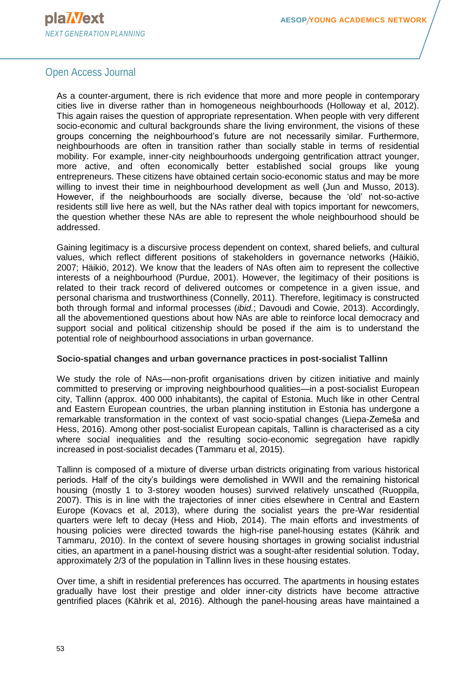

As a counter-argument, there is rich evidence that more and more people in contemporary cities live in diverse rather than in homogeneous neighbourhoods (Holloway et al, 2012). This again raises the question of appropriate representation. When people with very different socio-economic and cultural backgrounds share the living environment, the visions of these groups concerning the neighbourhood's future are not necessarily similar. Furthermore, neighbourhoods are often in transition rather than socially stable in terms of residential mobility. For example, inner-city neighbourhoods undergoing gentrification attract younger, more active, and often economically better established social groups like young entrepreneurs. These citizens have obtained certain socio-economic status and may be more willing to invest their time in neighbourhood development as well (Jun and Musso, 2013). However, if the neighbourhoods are socially diverse, because the 'old' not-so-active residents still live here as well, but the NAs rather deal with topics important for newcomers, the question whether these NAs are able to represent the whole neighbourhood should be addressed.

Gaining legitimacy is a discursive process dependent on context, shared beliefs, and cultural values, which reflect different positions of stakeholders in governance networks (Häikiö, 2007; Häikiö, 2012). We know that the leaders of NAs often aim to represent the collective interests of a neighbourhood (Purdue, 2001). However, the legitimacy of their positions is related to their track record of delivered outcomes or competence in a given issue, and personal charisma and trustworthiness (Connelly, 2011). Therefore, legitimacy is constructed both through formal and informal processes (*ibid.*; Davoudi and Cowie, 2013). Accordingly, all the abovementioned questions about how NAs are able to reinforce local democracy and support social and political citizenship should be posed if the aim is to understand the potential role of neighbourhood associations in urban governance.

#### **Socio-spatial changes and urban governance practices in post-socialist Tallinn**

We study the role of NAs—non-profit organisations driven by citizen initiative and mainly committed to preserving or improving neighbourhood qualities—in a post-socialist European city, Tallinn (approx. 400 000 inhabitants), the capital of Estonia. Much like in other Central and Eastern European countries, the urban planning institution in Estonia has undergone a remarkable transformation in the context of vast socio-spatial changes (Liepa-Zemeša and Hess, 2016). Among other post-socialist European capitals, Tallinn is characterised as a city where social inequalities and the resulting socio-economic segregation have rapidly increased in post-socialist decades (Tammaru et al, 2015).

Tallinn is composed of a mixture of diverse urban districts originating from various historical periods. Half of the city's buildings were demolished in WWII and the remaining historical housing (mostly 1 to 3-storey wooden houses) survived relatively unscathed (Ruoppila, 2007). This is in line with the trajectories of inner cities elsewhere in Central and Eastern Europe (Kovacs et al, 2013), where during the socialist years the pre-War residential quarters were left to decay (Hess and Hiob, 2014). The main efforts and investments of housing policies were directed towards the high-rise panel-housing estates (Kährik and Tammaru, 2010). In the context of severe housing shortages in growing socialist industrial cities, an apartment in a panel-housing district was a sought-after residential solution. Today, approximately 2/3 of the population in Tallinn lives in these housing estates.

Over time, a shift in residential preferences has occurred. The apartments in housing estates gradually have lost their prestige and older inner-city districts have become attractive gentrified places (Kährik et al, 2016). Although the panel-housing areas have maintained a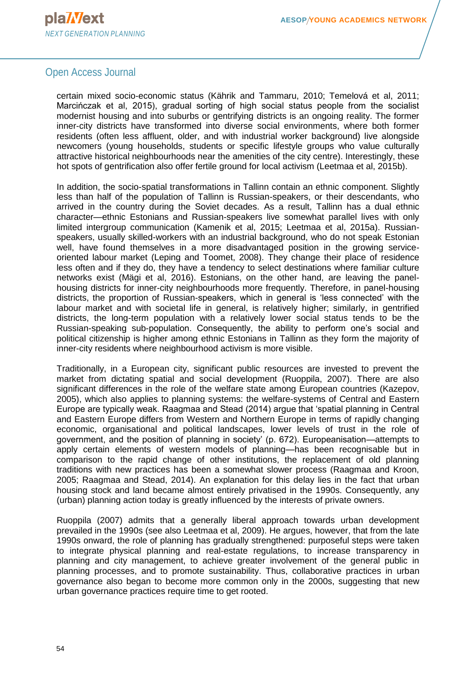

certain mixed socio-economic status (Kährik and Tammaru, 2010; Temelová et al, 2011; Marcińczak et al, 2015), gradual sorting of high social status people from the socialist modernist housing and into suburbs or gentrifying districts is an ongoing reality. The former inner-city districts have transformed into diverse social environments, where both former residents (often less affluent, older, and with industrial worker background) live alongside newcomers (young households, students or specific lifestyle groups who value culturally attractive historical neighbourhoods near the amenities of the city centre). Interestingly, these hot spots of gentrification also offer fertile ground for local activism (Leetmaa et al, 2015b).

In addition, the socio-spatial transformations in Tallinn contain an ethnic component. Slightly less than half of the population of Tallinn is Russian-speakers, or their descendants, who arrived in the country during the Soviet decades. As a result, Tallinn has a dual ethnic character—ethnic Estonians and Russian-speakers live somewhat parallel lives with only limited intergroup communication (Kamenik et al, 2015; Leetmaa et al, 2015a). Russianspeakers, usually skilled-workers with an industrial background, who do not speak Estonian well, have found themselves in a more disadvantaged position in the growing serviceoriented labour market (Leping and Toomet, 2008). They change their place of residence less often and if they do, they have a tendency to select destinations where familiar culture networks exist (Mägi et al, 2016). Estonians, on the other hand, are leaving the panelhousing districts for inner-city neighbourhoods more frequently. Therefore, in panel-housing districts, the proportion of Russian-speakers, which in general is 'less connected' with the labour market and with societal life in general, is relatively higher; similarly, in gentrified districts, the long-term population with a relatively lower social status tends to be the Russian-speaking sub-population. Consequently, the ability to perform one's social and political citizenship is higher among ethnic Estonians in Tallinn as they form the majority of inner-city residents where neighbourhood activism is more visible.

Traditionally, in a European city, significant public resources are invested to prevent the market from dictating spatial and social development (Ruoppila, 2007). There are also significant differences in the role of the welfare state among European countries (Kazepov, 2005), which also applies to planning systems: the welfare-systems of Central and Eastern Europe are typically weak. Raagmaa and Stead (2014) argue that 'spatial planning in Central and Eastern Europe differs from Western and Northern Europe in terms of rapidly changing economic, organisational and political landscapes, lower levels of trust in the role of government, and the position of planning in society' (p. 672). Europeanisation—attempts to apply certain elements of western models of planning—has been recognisable but in comparison to the rapid change of other institutions, the replacement of old planning traditions with new practices has been a somewhat slower process (Raagmaa and Kroon, 2005; Raagmaa and Stead, 2014). An explanation for this delay lies in the fact that urban housing stock and land became almost entirely privatised in the 1990s. Consequently, any (urban) planning action today is greatly influenced by the interests of private owners.

Ruoppila (2007) admits that a generally liberal approach towards urban development prevailed in the 1990s (see also Leetmaa et al, 2009). He argues, however, that from the late 1990s onward, the role of planning has gradually strengthened: purposeful steps were taken to integrate physical planning and real-estate regulations, to increase transparency in planning and city management, to achieve greater involvement of the general public in planning processes, and to promote sustainability. Thus, collaborative practices in urban governance also began to become more common only in the 2000s, suggesting that new urban governance practices require time to get rooted.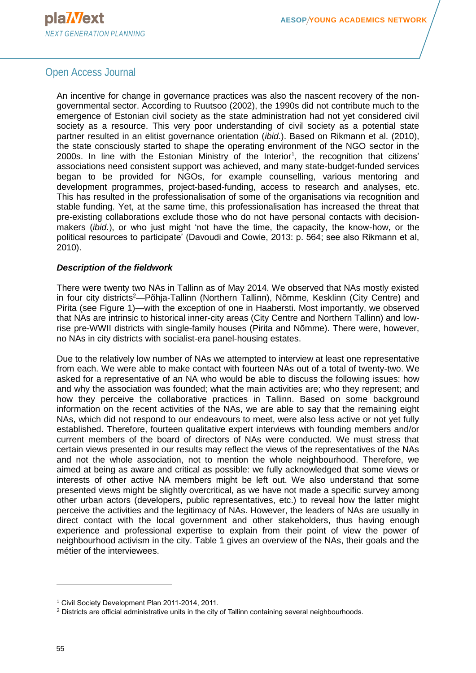An incentive for change in governance practices was also the nascent recovery of the nongovernmental sector. According to Ruutsoo (2002), the 1990s did not contribute much to the emergence of Estonian civil society as the state administration had not yet considered civil society as a resource. This very poor understanding of civil society as a potential state partner resulted in an elitist governance orientation (*ibid*.). Based on Rikmann et al. (2010), the state consciously started to shape the operating environment of the NGO sector in the 2000s. In line with the Estonian Ministry of the Interior<sup>1</sup>, the recognition that citizens' associations need consistent support was achieved, and many state-budget-funded services began to be provided for NGOs, for example counselling, various mentoring and development programmes, project-based-funding, access to research and analyses, etc. This has resulted in the professionalisation of some of the organisations via recognition and stable funding. Yet, at the same time, this professionalisation has increased the threat that pre-existing collaborations exclude those who do not have personal contacts with decisionmakers (*ibid*.), or who just might 'not have the time, the capacity, the know-how, or the political resources to participate' (Davoudi and Cowie, 2013: p. 564; see also Rikmann et al, 2010).

#### *Description of the fieldwork*

There were twenty two NAs in Tallinn as of May 2014. We observed that NAs mostly existed in four city districts<sup>2</sup>—Põhja-Tallinn (Northern Tallinn), Nõmme, Kesklinn (City Centre) and Pirita (see Figure 1)—with the exception of one in Haabersti. Most importantly, we observed that NAs are intrinsic to historical inner-city areas (City Centre and Northern Tallinn) and lowrise pre-WWII districts with single-family houses (Pirita and Nõmme). There were, however, no NAs in city districts with socialist-era panel-housing estates.

Due to the relatively low number of NAs we attempted to interview at least one representative from each. We were able to make contact with fourteen NAs out of a total of twenty-two. We asked for a representative of an NA who would be able to discuss the following issues: how and why the association was founded; what the main activities are; who they represent; and how they perceive the collaborative practices in Tallinn. Based on some background information on the recent activities of the NAs, we are able to say that the remaining eight NAs, which did not respond to our endeavours to meet, were also less active or not yet fully established. Therefore, fourteen qualitative expert interviews with founding members and/or current members of the board of directors of NAs were conducted. We must stress that certain views presented in our results may reflect the views of the representatives of the NAs and not the whole association, not to mention the whole neighbourhood. Therefore, we aimed at being as aware and critical as possible: we fully acknowledged that some views or interests of other active NA members might be left out. We also understand that some presented views might be slightly overcritical, as we have not made a specific survey among other urban actors (developers, public representatives, etc.) to reveal how the latter might perceive the activities and the legitimacy of NAs. However, the leaders of NAs are usually in direct contact with the local government and other stakeholders, thus having enough experience and professional expertise to explain from their point of view the power of neighbourhood activism in the city. Table 1 gives an overview of the NAs, their goals and the métier of the interviewees.

 $\overline{a}$ 

<sup>1</sup> Civil Society Development Plan 2011-2014, 2011.

<sup>2</sup> Districts are official administrative units in the city of Tallinn containing several neighbourhoods.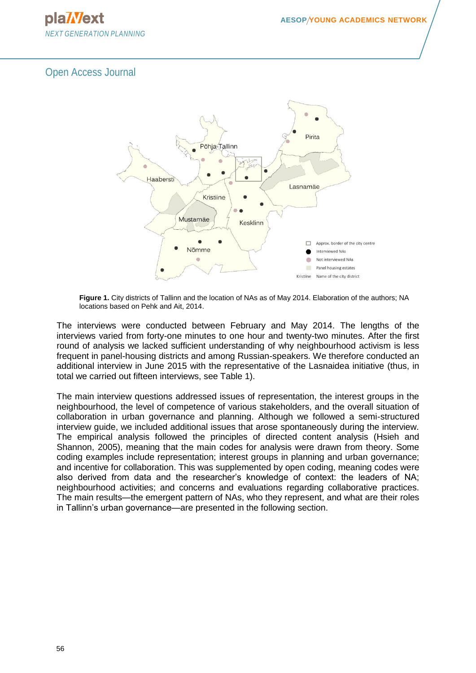



**Figure 1.** City districts of Tallinn and the location of NAs as of May 2014. Elaboration of the authors; NA locations based on Pehk and Ait, 2014.

The interviews were conducted between February and May 2014. The lengths of the interviews varied from forty-one minutes to one hour and twenty-two minutes. After the first round of analysis we lacked sufficient understanding of why neighbourhood activism is less frequent in panel-housing districts and among Russian-speakers. We therefore conducted an additional interview in June 2015 with the representative of the Lasnaidea initiative (thus, in total we carried out fifteen interviews, see Table 1).

The main interview questions addressed issues of representation, the interest groups in the neighbourhood, the level of competence of various stakeholders, and the overall situation of collaboration in urban governance and planning. Although we followed a semi-structured interview guide, we included additional issues that arose spontaneously during the interview. The empirical analysis followed the principles of directed content analysis (Hsieh and Shannon, 2005), meaning that the main codes for analysis were drawn from theory. Some coding examples include representation; interest groups in planning and urban governance; and incentive for collaboration. This was supplemented by open coding, meaning codes were also derived from data and the researcher's knowledge of context: the leaders of NA; neighbourhood activities; and concerns and evaluations regarding collaborative practices. The main results—the emergent pattern of NAs, who they represent, and what are their roles in Tallinn's urban governance—are presented in the following section.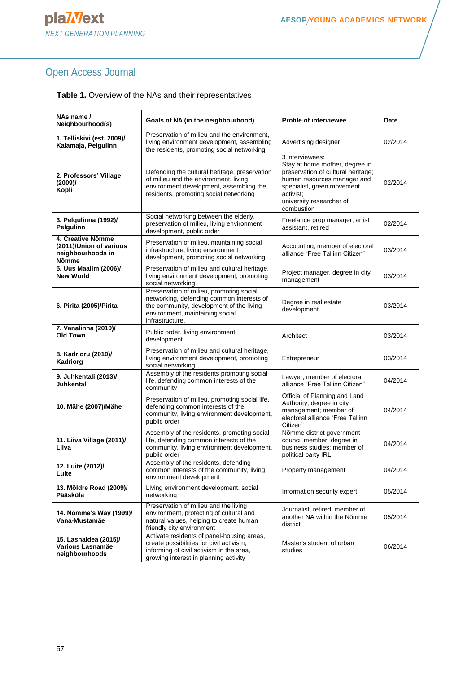| NAs name /<br>Neighbourhood(s)                                             | Goals of NA (in the neighbourhood)                                                                                                                                                      | <b>Profile of interviewee</b>                                                                                                                                                                               | Date    |
|----------------------------------------------------------------------------|-----------------------------------------------------------------------------------------------------------------------------------------------------------------------------------------|-------------------------------------------------------------------------------------------------------------------------------------------------------------------------------------------------------------|---------|
| 1. Telliskivi (est. 2009)/<br>Kalamaja, Pelgulinn                          | Preservation of milieu and the environment,<br>living environment development, assembling<br>the residents, promoting social networking                                                 | Advertising designer                                                                                                                                                                                        | 02/2014 |
| 2. Professors' Village<br>(2009)<br>Kopli                                  | Defending the cultural heritage, preservation<br>of milieu and the environment, living<br>environment development, assembling the<br>residents, promoting social networking             | 3 interviewees:<br>Stay at home mother, degree in<br>preservation of cultural heritage;<br>human resources manager and<br>specialist, green movement<br>activist:<br>university researcher of<br>combustion | 02/2014 |
| 3. Pelgulinna (1992)/<br>Pelgulinn                                         | Social networking between the elderly,<br>preservation of milieu, living environment<br>development, public order                                                                       | Freelance prop manager, artist<br>assistant, retired                                                                                                                                                        | 02/2014 |
| 4. Creative Nõmme<br>(2011)/Union of various<br>neighbourhoods in<br>Nõmme | Preservation of milieu, maintaining social<br>infrastructure, living environment<br>development, promoting social networking                                                            | Accounting, member of electoral<br>alliance "Free Tallinn Citizen"                                                                                                                                          | 03/2014 |
| 5. Uus Maailm (2006)/<br><b>New World</b>                                  | Preservation of milieu and cultural heritage,<br>living environment development, promoting<br>social networking                                                                         | Project manager, degree in city<br>management                                                                                                                                                               | 03/2014 |
| 6. Pirita (2005)/Pirita                                                    | Preservation of milieu, promoting social<br>networking, defending common interests of<br>the community, development of the living<br>environment, maintaining social<br>infrastructure. | Degree in real estate<br>development                                                                                                                                                                        | 03/2014 |
| 7. Vanalinna (2010)/<br><b>Old Town</b>                                    | Public order, living environment<br>development                                                                                                                                         | Architect                                                                                                                                                                                                   | 03/2014 |
| 8. Kadrioru (2010)/<br>Kadriorg                                            | Preservation of milieu and cultural heritage,<br>living environment development, promoting<br>social networking                                                                         | Entrepreneur                                                                                                                                                                                                | 03/2014 |
| 9. Juhkentali (2013)/<br>Juhkentali                                        | Assembly of the residents promoting social<br>life, defending common interests of the<br>community                                                                                      | Lawyer, member of electoral<br>alliance "Free Tallinn Citizen"                                                                                                                                              | 04/2014 |
| 10. Mähe (2007)/Mähe                                                       | Preservation of milieu, promoting social life,<br>defending common interests of the<br>community, living environment development,<br>public order                                       | Official of Planning and Land<br>Authority, degree in city<br>management; member of<br>electoral alliance "Free Tallinn<br>Citizen"                                                                         | 04/2014 |
| 11. Liiva Village (2011)/<br>Liiva                                         | Assembly of the residents, promoting social<br>life, defending common interests of the<br>community, living environment development,<br>public order                                    | Nõmme district government<br>council member, degree in<br>business studies; member of<br>political party IRL                                                                                                | 04/2014 |
| 12. Luite (2012)/<br>Luite                                                 | Assembly of the residents, defending<br>common interests of the community, living<br>environment development                                                                            | Property management                                                                                                                                                                                         | 04/2014 |
| 13. Möldre Road (2009)/<br>Pääsküla                                        | Living environment development, social<br>networking                                                                                                                                    | Information security expert                                                                                                                                                                                 | 05/2014 |
| 14. Nõmme's Way (1999)/<br>Vana-Mustamäe                                   | Preservation of milieu and the living<br>environment, protecting of cultural and<br>natural values, helping to create human<br>friendly city environment                                | Journalist, retired; member of<br>another NA within the Nõmme<br>district                                                                                                                                   | 05/2014 |
| 15. Lasnaidea (2015)/<br>Various Lasnamäe<br>neighbourhoods                | Activate residents of panel-housing areas,<br>create possibilities for civil activism,<br>informing of civil activism in the area,<br>arowing interest in planning activity             | Master's student of urban<br>studies                                                                                                                                                                        | 06/2014 |

growing interest in planning activity

#### **Table 1.** Overview of the NAs and their representatives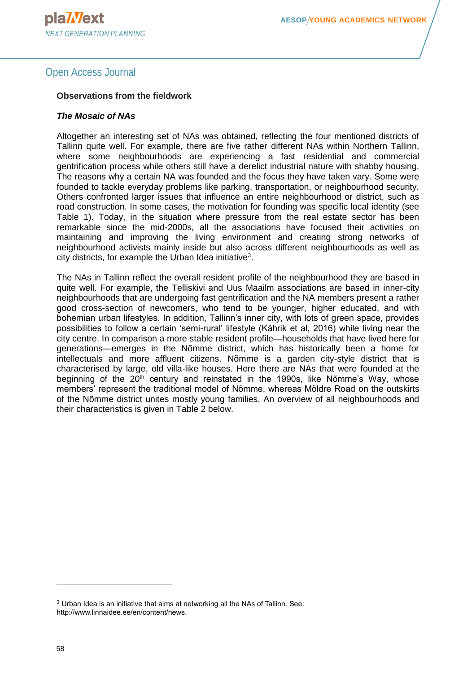#### **Observations from the fieldwork**

#### *The Mosaic of NAs*

Altogether an interesting set of NAs was obtained, reflecting the four mentioned districts of Tallinn quite well. For example, there are five rather different NAs within Northern Tallinn, where some neighbourhoods are experiencing a fast residential and commercial gentrification process while others still have a derelict industrial nature with shabby housing. The reasons why a certain NA was founded and the focus they have taken vary. Some were founded to tackle everyday problems like parking, transportation, or neighbourhood security. Others confronted larger issues that influence an entire neighbourhood or district, such as road construction. In some cases, the motivation for founding was specific local identity (see Table 1). Today, in the situation where pressure from the real estate sector has been remarkable since the mid-2000s, all the associations have focused their activities on maintaining and improving the living environment and creating strong networks of neighbourhood activists mainly inside but also across different neighbourhoods as well as city districts, for example the Urban Idea initiative<sup>3</sup>.

The NAs in Tallinn reflect the overall resident profile of the neighbourhood they are based in quite well. For example, the Telliskivi and Uus Maailm associations are based in inner-city neighbourhoods that are undergoing fast gentrification and the NA members present a rather good cross-section of newcomers, who tend to be younger, higher educated, and with bohemian urban lifestyles. In addition, Tallinn's inner city, with lots of green space, provides possibilities to follow a certain 'semi-rural' lifestyle (Kährik et al, 2016) while living near the city centre. In comparison a more stable resident profile—households that have lived here for generations—emerges in the Nõmme district, which has historically been a home for intellectuals and more affluent citizens. Nõmme is a garden city-style district that is characterised by large, old villa-like houses. Here there are NAs that were founded at the beginning of the  $20<sup>th</sup>$  century and reinstated in the 1990s, like Nõmme's Way, whose members' represent the traditional model of Nõmme, whereas Möldre Road on the outskirts of the Nõmme district unites mostly young families. An overview of all neighbourhoods and their characteristics is given in Table 2 below.

 $\overline{a}$ 

<sup>3</sup> Urban Idea is an initiative that aims at networking all the NAs of Tallinn. See: http://www.linnaidee.ee/en/content/news.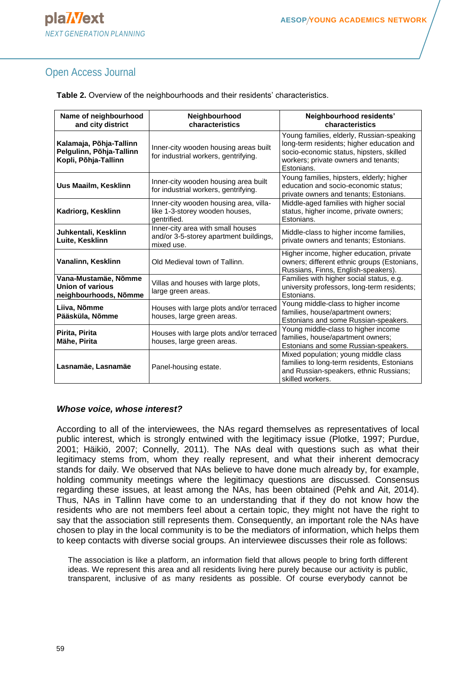| Name of neighbourhood<br>and city district                                  | Neighbourhood<br>characteristics                                                          | Neighbourhood residents'<br>characteristics                                                                                                                                              |  |
|-----------------------------------------------------------------------------|-------------------------------------------------------------------------------------------|------------------------------------------------------------------------------------------------------------------------------------------------------------------------------------------|--|
| Kalamaja, Põhja-Tallinn<br>Pelgulinn, Põhja-Tallinn<br>Kopli, Põhja-Tallinn | Inner-city wooden housing areas built<br>for industrial workers, gentrifying.             | Young families, elderly, Russian-speaking<br>long-term residents; higher education and<br>socio-economic status, hipsters, skilled<br>workers; private owners and tenants;<br>Estonians. |  |
| Uus Maailm, Kesklinn                                                        | Inner-city wooden housing area built<br>for industrial workers, gentrifying.              | Young families, hipsters, elderly; higher<br>education and socio-economic status;<br>private owners and tenants; Estonians.                                                              |  |
| Kadriorg, Kesklinn                                                          | Inner-city wooden housing area, villa-<br>like 1-3-storey wooden houses,<br>gentrified.   | Middle-aged families with higher social<br>status, higher income, private owners;<br>Estonians.                                                                                          |  |
| Juhkentali, Kesklinn<br>Luite, Kesklinn                                     | Inner-city area with small houses<br>and/or 3-5-storey apartment buildings,<br>mixed use. | Middle-class to higher income families,<br>private owners and tenants; Estonians.                                                                                                        |  |
| Vanalinn, Kesklinn                                                          | Old Medieval town of Tallinn.                                                             | Higher income, higher education, private<br>owners; different ethnic groups (Estonians,<br>Russians, Finns, English-speakers).                                                           |  |
| Vana-Mustamäe, Nõmme<br>Union of various<br>neighbourhoods, Nõmme           | Villas and houses with large plots,<br>large green areas.                                 | Families with higher social status, e.g.<br>university professors, long-term residents;<br>Estonians.                                                                                    |  |
| Liiva, Nõmme<br>Pääsküla, Nõmme                                             | Houses with large plots and/or terraced<br>houses, large green areas.                     | Young middle-class to higher income<br>families, house/apartment owners;<br>Estonians and some Russian-speakers.                                                                         |  |
| Pirita, Pirita<br>Mähe, Pirita                                              | Houses with large plots and/or terraced<br>houses, large green areas.                     | Young middle-class to higher income<br>families, house/apartment owners;<br>Estonians and some Russian-speakers.                                                                         |  |
| Lasnamäe, Lasnamäe                                                          | Panel-housing estate.                                                                     | Mixed population; young middle class<br>families to long-term residents, Estonians<br>and Russian-speakers, ethnic Russians;<br>skilled workers.                                         |  |

**Table 2.** Overview of the neighbourhoods and their residents' characteristics.

#### *Whose voice, whose interest?*

According to all of the interviewees, the NAs regard themselves as representatives of local public interest, which is strongly entwined with the legitimacy issue (Plotke, 1997; Purdue, 2001; Häikiö, 2007; Connelly, 2011). The NAs deal with questions such as what their legitimacy stems from, whom they really represent, and what their inherent democracy stands for daily. We observed that NAs believe to have done much already by, for example, holding community meetings where the legitimacy questions are discussed. Consensus regarding these issues, at least among the NAs, has been obtained (Pehk and Ait, 2014). Thus, NAs in Tallinn have come to an understanding that if they do not know how the residents who are not members feel about a certain topic, they might not have the right to say that the association still represents them. Consequently, an important role the NAs have chosen to play in the local community is to be the mediators of information, which helps them to keep contacts with diverse social groups. An interviewee discusses their role as follows:

The association is like a platform, an information field that allows people to bring forth different ideas. We represent this area and all residents living here purely because our activity is public, transparent, inclusive of as many residents as possible. Of course everybody cannot be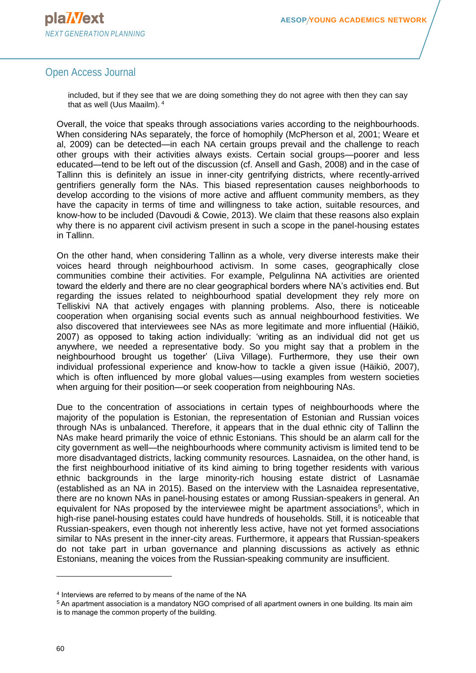

included, but if they see that we are doing something they do not agree with then they can say that as well (Uus Maailm). <sup>4</sup>

Overall, the voice that speaks through associations varies according to the neighbourhoods. When considering NAs separately, the force of homophily (McPherson et al, 2001; Weare et al, 2009) can be detected—in each NA certain groups prevail and the challenge to reach other groups with their activities always exists. Certain social groups—poorer and less educated—tend to be left out of the discussion (cf. Ansell and Gash, 2008) and in the case of Tallinn this is definitely an issue in inner-city gentrifying districts, where recently-arrived gentrifiers generally form the NAs. This biased representation causes neighborhoods to develop according to the visions of more active and affluent community members, as they have the capacity in terms of time and willingness to take action, suitable resources, and know-how to be included (Davoudi & Cowie, 2013). We claim that these reasons also explain why there is no apparent civil activism present in such a scope in the panel-housing estates in Tallinn.

On the other hand, when considering Tallinn as a whole, very diverse interests make their voices heard through neighbourhood activism. In some cases, geographically close communities combine their activities. For example, Pelgulinna NA activities are oriented toward the elderly and there are no clear geographical borders where NA's activities end. But regarding the issues related to neighbourhood spatial development they rely more on Telliskivi NA that actively engages with planning problems. Also, there is noticeable cooperation when organising social events such as annual neighbourhood festivities. We also discovered that interviewees see NAs as more legitimate and more influential (Häikiö, 2007) as opposed to taking action individually: 'writing as an individual did not get us anywhere, we needed a representative body. So you might say that a problem in the neighbourhood brought us together' (Liiva Village). Furthermore, they use their own individual professional experience and know-how to tackle a given issue (Häikiö, 2007), which is often influenced by more global values—using examples from western societies when arguing for their position—or seek cooperation from neighbouring NAs.

Due to the concentration of associations in certain types of neighbourhoods where the majority of the population is Estonian, the representation of Estonian and Russian voices through NAs is unbalanced. Therefore, it appears that in the dual ethnic city of Tallinn the NAs make heard primarily the voice of ethnic Estonians. This should be an alarm call for the city government as well—the neighbourhoods where community activism is limited tend to be more disadvantaged districts, lacking community resources. Lasnaidea, on the other hand, is the first neighbourhood initiative of its kind aiming to bring together residents with various ethnic backgrounds in the large minority-rich housing estate district of Lasnamäe (established as an NA in 2015). Based on the interview with the Lasnaidea representative, there are no known NAs in panel-housing estates or among Russian-speakers in general. An equivalent for NAs proposed by the interviewee might be apartment associations<sup>5</sup>, which in high-rise panel-housing estates could have hundreds of households. Still, it is noticeable that Russian-speakers, even though not inherently less active, have not yet formed associations similar to NAs present in the inner-city areas. Furthermore, it appears that Russian-speakers do not take part in urban governance and planning discussions as actively as ethnic Estonians, meaning the voices from the Russian-speaking community are insufficient.

l

<sup>4</sup> Interviews are referred to by means of the name of the NA

<sup>5</sup> An apartment association is a mandatory NGO comprised of all apartment owners in one building. Its main aim is to manage the common property of the building.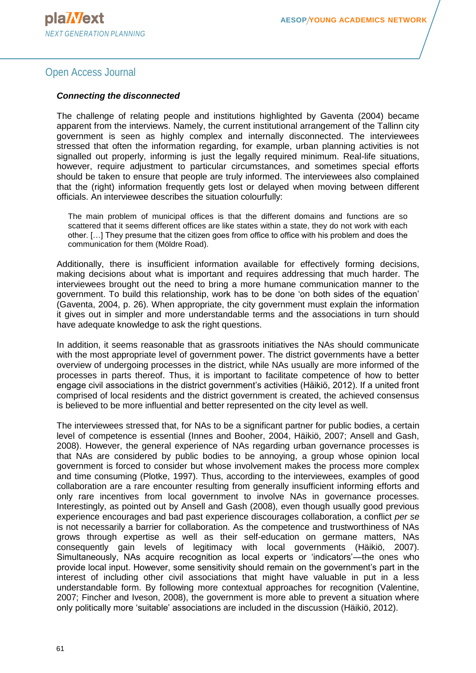#### *Connecting the disconnected*

The challenge of relating people and institutions highlighted by Gaventa (2004) became apparent from the interviews. Namely, the current institutional arrangement of the Tallinn city government is seen as highly complex and internally disconnected. The interviewees stressed that often the information regarding, for example, urban planning activities is not signalled out properly, informing is just the legally required minimum. Real-life situations, however, require adjustment to particular circumstances, and sometimes special efforts should be taken to ensure that people are truly informed. The interviewees also complained that the (right) information frequently gets lost or delayed when moving between different officials. An interviewee describes the situation colourfully:

The main problem of municipal offices is that the different domains and functions are so scattered that it seems different offices are like states within a state, they do not work with each other. […] They presume that the citizen goes from office to office with his problem and does the communication for them (Möldre Road).

Additionally, there is insufficient information available for effectively forming decisions, making decisions about what is important and requires addressing that much harder. The interviewees brought out the need to bring a more humane communication manner to the government. To build this relationship, work has to be done 'on both sides of the equation' (Gaventa, 2004, p. 26). When appropriate, the city government must explain the information it gives out in simpler and more understandable terms and the associations in turn should have adequate knowledge to ask the right questions.

In addition, it seems reasonable that as grassroots initiatives the NAs should communicate with the most appropriate level of government power. The district governments have a better overview of undergoing processes in the district, while NAs usually are more informed of the processes in parts thereof. Thus, it is important to facilitate competence of how to better engage civil associations in the district government's activities (Häikiö, 2012). If a united front comprised of local residents and the district government is created, the achieved consensus is believed to be more influential and better represented on the city level as well.

The interviewees stressed that, for NAs to be a significant partner for public bodies, a certain level of competence is essential (Innes and Booher, 2004, Häikiö, 2007; Ansell and Gash, 2008). However, the general experience of NAs regarding urban governance processes is that NAs are considered by public bodies to be annoying, a group whose opinion local government is forced to consider but whose involvement makes the process more complex and time consuming (Plotke, 1997). Thus, according to the interviewees, examples of good collaboration are a rare encounter resulting from generally insufficient informing efforts and only rare incentives from local government to involve NAs in governance processes. Interestingly, as pointed out by Ansell and Gash (2008), even though usually good previous experience encourages and bad past experience discourages collaboration, a conflict *per se* is not necessarily a barrier for collaboration. As the competence and trustworthiness of NAs grows through expertise as well as their self-education on germane matters, NAs consequently gain levels of legitimacy with local governments (Häikiö, 2007). Simultaneously, NAs acquire recognition as local experts or 'indicators'—the ones who provide local input. However, some sensitivity should remain on the government's part in the interest of including other civil associations that might have valuable in put in a less understandable form. By following more contextual approaches for recognition (Valentine, 2007; Fincher and Iveson, 2008), the government is more able to prevent a situation where only politically more 'suitable' associations are included in the discussion (Häikiö, 2012).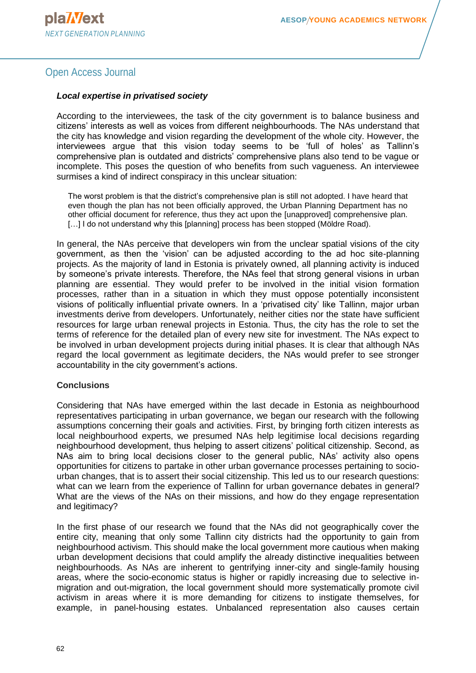#### *Local expertise in privatised society*

According to the interviewees, the task of the city government is to balance business and citizens' interests as well as voices from different neighbourhoods. The NAs understand that the city has knowledge and vision regarding the development of the whole city. However, the interviewees argue that this vision today seems to be 'full of holes' as Tallinn's comprehensive plan is outdated and districts' comprehensive plans also tend to be vague or incomplete. This poses the question of who benefits from such vagueness. An interviewee surmises a kind of indirect conspiracy in this unclear situation:

The worst problem is that the district's comprehensive plan is still not adopted. I have heard that even though the plan has not been officially approved, the Urban Planning Department has no other official document for reference, thus they act upon the [unapproved] comprehensive plan. [...] I do not understand why this [planning] process has been stopped (Möldre Road).

In general, the NAs perceive that developers win from the unclear spatial visions of the city government, as then the 'vision' can be adjusted according to the ad hoc site-planning projects. As the majority of land in Estonia is privately owned, all planning activity is induced by someone's private interests. Therefore, the NAs feel that strong general visions in urban planning are essential. They would prefer to be involved in the initial vision formation processes, rather than in a situation in which they must oppose potentially inconsistent visions of politically influential private owners. In a 'privatised city' like Tallinn, major urban investments derive from developers. Unfortunately, neither cities nor the state have sufficient resources for large urban renewal projects in Estonia. Thus, the city has the role to set the terms of reference for the detailed plan of every new site for investment. The NAs expect to be involved in urban development projects during initial phases. It is clear that although NAs regard the local government as legitimate deciders, the NAs would prefer to see stronger accountability in the city government's actions.

#### **Conclusions**

Considering that NAs have emerged within the last decade in Estonia as neighbourhood representatives participating in urban governance, we began our research with the following assumptions concerning their goals and activities. First, by bringing forth citizen interests as local neighbourhood experts, we presumed NAs help legitimise local decisions regarding neighbourhood development, thus helping to assert citizens' political citizenship. Second, as NAs aim to bring local decisions closer to the general public, NAs' activity also opens opportunities for citizens to partake in other urban governance processes pertaining to sociourban changes, that is to assert their social citizenship. This led us to our research questions: what can we learn from the experience of Tallinn for urban governance debates in general? What are the views of the NAs on their missions, and how do they engage representation and legitimacy?

In the first phase of our research we found that the NAs did not geographically cover the entire city, meaning that only some Tallinn city districts had the opportunity to gain from neighbourhood activism. This should make the local government more cautious when making urban development decisions that could amplify the already distinctive inequalities between neighbourhoods. As NAs are inherent to gentrifying inner-city and single-family housing areas, where the socio-economic status is higher or rapidly increasing due to selective inmigration and out-migration, the local government should more systematically promote civil activism in areas where it is more demanding for citizens to instigate themselves, for example, in panel-housing estates. Unbalanced representation also causes certain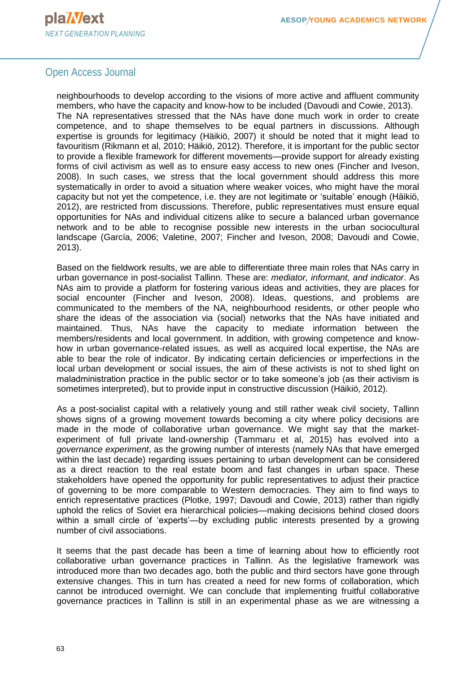neighbourhoods to develop according to the visions of more active and affluent community members, who have the capacity and know-how to be included (Davoudi and Cowie, 2013). The NA representatives stressed that the NAs have done much work in order to create competence, and to shape themselves to be equal partners in discussions. Although expertise is grounds for legitimacy (Häikiö, 2007) it should be noted that it might lead to favouritism (Rikmann et al, 2010; Häikiö, 2012). Therefore, it is important for the public sector to provide a flexible framework for different movements—provide support for already existing forms of civil activism as well as to ensure easy access to new ones (Fincher and Iveson, 2008). In such cases, we stress that the local government should address this more systematically in order to avoid a situation where weaker voices, who might have the moral capacity but not yet the competence, i.e. they are not legitimate or 'suitable' enough (Häikiö, 2012), are restricted from discussions. Therefore, public representatives must ensure equal opportunities for NAs and individual citizens alike to secure a balanced urban governance network and to be able to recognise possible new interests in the urban sociocultural landscape (García, 2006; Valetine, 2007; Fincher and Iveson, 2008; Davoudi and Cowie, 2013).

Based on the fieldwork results, we are able to differentiate three main roles that NAs carry in urban governance in post-socialist Tallinn. These are: *mediator, informant, and indicator*. As NAs aim to provide a platform for fostering various ideas and activities, they are places for social encounter (Fincher and Iveson, 2008). Ideas, questions, and problems are communicated to the members of the NA, neighbourhood residents, or other people who share the ideas of the association via (social) networks that the NAs have initiated and maintained. Thus, NAs have the capacity to mediate information between the members/residents and local government. In addition, with growing competence and knowhow in urban governance-related issues, as well as acquired local expertise, the NAs are able to bear the role of indicator. By indicating certain deficiencies or imperfections in the local urban development or social issues, the aim of these activists is not to shed light on maladministration practice in the public sector or to take someone's job (as their activism is sometimes interpreted), but to provide input in constructive discussion (Häikiö, 2012).

As a post-socialist capital with a relatively young and still rather weak civil society, Tallinn shows signs of a growing movement towards becoming a city where policy decisions are made in the mode of collaborative urban governance. We might say that the marketexperiment of full private land-ownership (Tammaru et al, 2015) has evolved into a *governance experiment*, as the growing number of interests (namely NAs that have emerged within the last decade) regarding issues pertaining to urban development can be considered as a direct reaction to the real estate boom and fast changes in urban space. These stakeholders have opened the opportunity for public representatives to adjust their practice of governing to be more comparable to Western democracies. They aim to find ways to enrich representative practices (Plotke, 1997; Davoudi and Cowie, 2013) rather than rigidly uphold the relics of Soviet era hierarchical policies—making decisions behind closed doors within a small circle of 'experts'—by excluding public interests presented by a growing number of civil associations.

It seems that the past decade has been a time of learning about how to efficiently root collaborative urban governance practices in Tallinn. As the legislative framework was introduced more than two decades ago, both the public and third sectors have gone through extensive changes. This in turn has created a need for new forms of collaboration, which cannot be introduced overnight. We can conclude that implementing fruitful collaborative governance practices in Tallinn is still in an experimental phase as we are witnessing a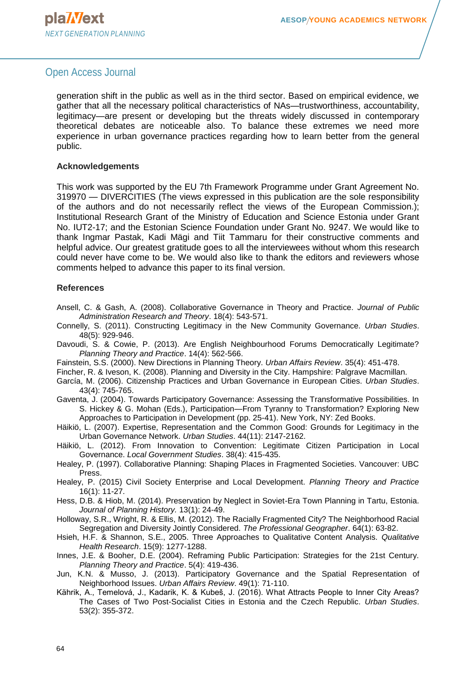generation shift in the public as well as in the third sector. Based on empirical evidence, we gather that all the necessary political characteristics of NAs—trustworthiness, accountability, legitimacy—are present or developing but the threats widely discussed in contemporary theoretical debates are noticeable also. To balance these extremes we need more experience in urban governance practices regarding how to learn better from the general public.

#### **Acknowledgements**

This work was supported by the EU 7th Framework Programme under Grant Agreement No. 319970 — DIVERCITIES (The views expressed in this publication are the sole responsibility of the authors and do not necessarily reflect the views of the European Commission.); Institutional Research Grant of the Ministry of Education and Science Estonia under Grant No. IUT2-17; and the Estonian Science Foundation under Grant No. 9247. We would like to thank Ingmar Pastak, Kadi Mägi and Tiit Tammaru for their constructive comments and helpful advice. Our greatest gratitude goes to all the interviewees without whom this research could never have come to be. We would also like to thank the editors and reviewers whose comments helped to advance this paper to its final version.

#### **References**

- Ansell, C. & Gash, A. (2008). Collaborative Governance in Theory and Practice. *Journal of Public Administration Research and Theory*. 18(4): 543-571.
- Connelly, S. (2011). Constructing Legitimacy in the New Community Governance. *Urban Studies*. 48(5): 929-946.
- Davoudi, S. & Cowie, P. (2013). Are English Neighbourhood Forums Democratically Legitimate? *Planning Theory and Practice*. 14(4): 562-566.
- Fainstein, S.S. (2000). New Directions in Planning Theory. *Urban Affairs Review*. 35(4): 451-478.
- Fincher, R. & Iveson, K. (2008). Planning and Diversity in the City. Hampshire: Palgrave Macmillan.
- García, M. (2006). Citizenship Practices and Urban Governance in European Cities. *Urban Studies*. 43(4): 745-765.
- Gaventa, J. (2004). Towards Participatory Governance: Assessing the Transformative Possibilities. In S. Hickey & G. Mohan (Eds.), Participation—From Tyranny to Transformation? Exploring New Approaches to Participation in Development (pp. 25-41). New York, NY: Zed Books.
- Häikiö, L. (2007). Expertise, Representation and the Common Good: Grounds for Legitimacy in the Urban Governance Network. *Urban Studies*. 44(11): 2147-2162.
- Häikiö, L. (2012). From Innovation to Convention: Legitimate Citizen Participation in Local Governance. *Local Government Studies*. 38(4): 415-435.
- Healey, P. (1997). Collaborative Planning: Shaping Places in Fragmented Societies. Vancouver: UBC Press.
- Healey, P. (2015) Civil Society Enterprise and Local Development. *Planning Theory and Practice* 16(1): 11-27.
- Hess, D.B. & Hiob, M. (2014). Preservation by Neglect in Soviet-Era Town Planning in Tartu, Estonia. *Journal of Planning History.* 13(1): 24-49.
- Holloway, S.R., Wright, R. & Ellis, M. (2012). The Racially Fragmented City? The Neighborhood Racial Segregation and Diversity Jointly Considered. *The Professional Geographer*. 64(1): 63-82.
- Hsieh, H.F. & Shannon, S.E., 2005. Three Approaches to Qualitative Content Analysis. *Qualitative Health Research*. 15(9): 1277-1288.
- Innes, J.E. & Booher, D.E. (2004). Reframing Public Participation: Strategies for the 21st Century. *Planning Theory and Practice*. 5(4): 419-436.
- Jun, K.N. & Musso, J. (2013). Participatory Governance and the Spatial Representation of Neighborhood Issues. *Urban Affairs Review*. 49(1): 71-110.
- Kährik, A., Temelová, J., Kadarik, K. & Kubeš, J. (2016). What Attracts People to Inner City Areas? The Cases of Two Post-Socialist Cities in Estonia and the Czech Republic. *Urban Studies*. 53(2): 355-372.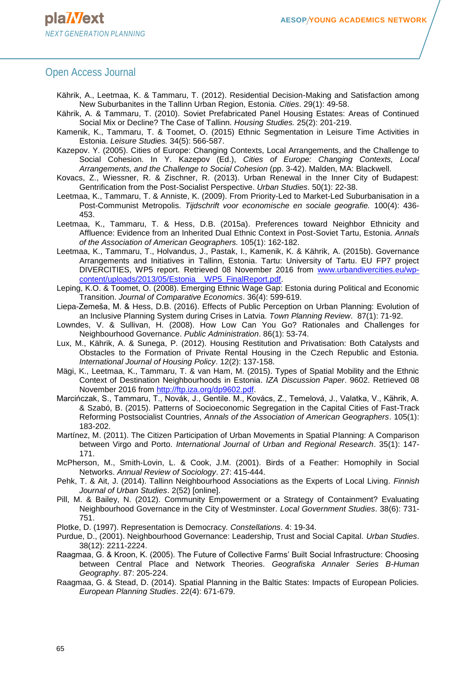- Kährik, A., Leetmaa, K. & Tammaru, T. (2012). Residential Decision-Making and Satisfaction among New Suburbanites in the Tallinn Urban Region, Estonia. *Cities*. 29(1): 49-58.
- Kährik, A. & Tammaru, T. (2010). Soviet Prefabricated Panel Housing Estates: Areas of Continued Social Mix or Decline? The Case of Tallinn. *Housing Studies.* 25(2): 201-219.
- Kamenik, K., Tammaru, T. & Toomet, O. (2015) Ethnic Segmentation in Leisure Time Activities in Estonia. *Leisure Studies.* 34(5): 566-587.
- Kazepov. Y. (2005). Cities of Europe: Changing Contexts, Local Arrangements, and the Challenge to Social Cohesion. In Y. Kazepov (Ed.), *Cities of Europe: Changing Contexts, Local Arrangements, and the Challenge to Social Cohesion* (pp. 3-42). Malden, MA: Blackwell.
- Kovacs, Z., Wiessner, R. & Zischner, R. (2013). Urban Renewal in the Inner City of Budapest: Gentrification from the Post-Socialist Perspective. *Urban Studies*. 50(1): 22-38.
- Leetmaa, K., Tammaru, T. & Anniste, K. (2009). From Priority-Led to Market-Led Suburbanisation in a Post-Communist Metropolis. *Tijdschrift voor economische en sociale geografie.* 100(4): 436- 453.
- Leetmaa, K., Tammaru, T. & Hess, D.B. (2015a). Preferences toward Neighbor Ethnicity and Affluence: Evidence from an Inherited Dual Ethnic Context in Post-Soviet Tartu, Estonia. *Annals of the Association of American Geographers.* 105(1): 162-182.
- Leetmaa, K., Tammaru, T., Holvandus, J., Pastak, I., Kamenik, K. & Kährik, A. (2015b). Governance Arrangements and Initiatives in Tallinn, Estonia. Tartu: University of Tartu. EU FP7 project DIVERCITIES, WP5 report. Retrieved 08 November 2016 from [www.urbandivercities.eu/wp](http://www.urbandivercities.eu/wp-content/uploads/2013/05/Estonia__WP5_FinalReport.pdf)[content/uploads/2013/05/Estonia\\_\\_WP5\\_FinalReport.pdf.](http://www.urbandivercities.eu/wp-content/uploads/2013/05/Estonia__WP5_FinalReport.pdf)
- Leping, K.O. & Toomet, O. (2008). Emerging Ethnic Wage Gap: Estonia during Political and Economic Transition. *Journal of Comparative Economics*. 36(4): 599-619.
- Liepa-Zemeša, M. & Hess, D.B. (2016). Effects of Public Perception on Urban Planning: Evolution of an Inclusive Planning System during Crises in Latvia. *Town Planning Review*. 87(1): 71-92.
- Lowndes, V. & Sullivan, H. (2008). How Low Can You Go? Rationales and Challenges for Neighbourhood Governance. *Public Administration*. 86(1): 53-74.
- Lux, M., Kährik, A. & Sunega, P. (2012). Housing Restitution and Privatisation: Both Catalysts and Obstacles to the Formation of Private Rental Housing in the Czech Republic and Estonia. *International Journal of Housing Policy*. 12(2): 137-158.
- Mägi, K., Leetmaa, K., Tammaru, T. & van Ham, M. (2015). Types of Spatial Mobility and the Ethnic Context of Destination Neighbourhoods in Estonia. *IZA Discussion Paper*. 9602. Retrieved 08 November 2016 from [http://ftp.iza.org/dp9602.pdf.](http://ftp.iza.org/dp9602.pdf)
- Marcińczak, S., Tammaru, T., Novák, J., Gentile. M., Kovács, Z., Temelová, J., Valatka, V., Kährik, A. & Szabó, B. (2015). Patterns of Socioeconomic Segregation in the Capital Cities of Fast-Track Reforming Postsocialist Countries, *Annals of the Association of American Geographers*. 105(1): 183-202.
- Martínez, M. (2011). The Citizen Participation of Urban Movements in Spatial Planning: A Comparison between Virgo and Porto. *International Journal of Urban and Regional Research*. 35(1): 147- 171.
- McPherson, M., Smith-Lovin, L. & Cook, J.M. (2001). Birds of a Feather: Homophily in Social Networks. *Annual Review of Sociology*. 27: 415-444.
- Pehk, T. & Ait, J. (2014). Tallinn Neighbourhood Associations as the Experts of Local Living. *Finnish Journal of Urban Studies*. 2(52) [online].
- Pill, M. & Bailey, N. (2012). Community Empowerment or a Strategy of Containment? Evaluating Neighbourhood Governance in the City of Westminster. *Local Government Studies*. 38(6): 731- 751.
- Plotke, D. (1997). Representation is Democracy. *Constellations*. 4: 19-34.
- Purdue, D., (2001). Neighbourhood Governance: Leadership, Trust and Social Capital. *Urban Studies*. 38(12): 2211-2224.
- Raagmaa, G. & Kroon, K. (2005). The Future of Collective Farms' Built Social Infrastructure: Choosing between Central Place and Network Theories. *Geografiska Annaler Series B-Human Geography*. 87: 205-224.
- Raagmaa, G. & Stead, D. (2014). Spatial Planning in the Baltic States: Impacts of European Policies. *European Planning Studies*. 22(4): 671-679.